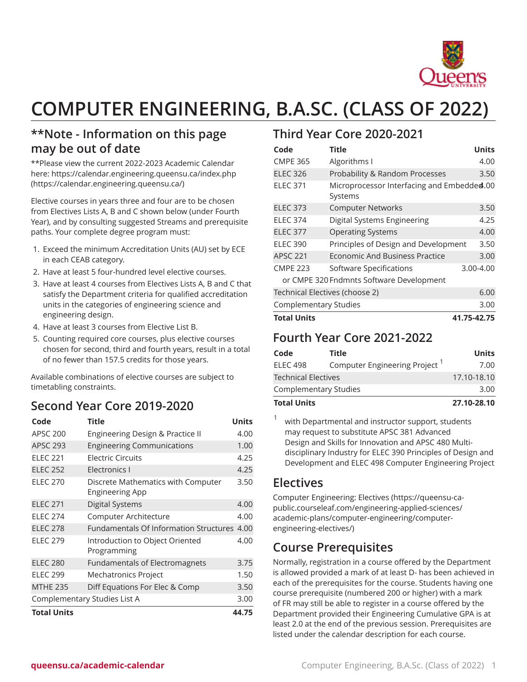

# **COMPUTER ENGINEERING, B.A.SC. (CLASS OF 2022)**

## **\*\*Note - Information on this page may be out of date**

\*\*Please view the current 2022-2023 Academic Calendar here: [https://calendar.engineering.queensu.ca/index.php](https://calendar.engineering.queensu.ca/) ([https://calendar.engineering.queensu.ca/\)](https://calendar.engineering.queensu.ca/)

Elective courses in years three and four are to be chosen from Electives Lists A, B and C shown below (under Fourth Year), and by consulting suggested Streams and prerequisite paths. Your complete degree program must:

- 1. Exceed the minimum Accreditation Units (AU) set by ECE in each CEAB category.
- 2. Have at least 5 four-hundred level elective courses.
- 3. Have at least 4 courses from Electives Lists A, B and C that satisfy the Department criteria for qualified accreditation units in the categories of engineering science and engineering design.
- 4. Have at least 3 courses from Elective List B.
- 5. Counting required core courses, plus elective courses chosen for second, third and fourth years, result in a total of no fewer than 157.5 credits for those years.

Available combinations of elective courses are subject to timetabling constraints.

## **Second Year Core 2019-2020**

| Code                         | <b>Title</b>                                          | <b>Units</b> |
|------------------------------|-------------------------------------------------------|--------------|
| <b>APSC 200</b>              | Engineering Design & Practice II                      | 4.00         |
| <b>APSC 293</b>              | <b>Engineering Communications</b>                     | 1.00         |
| <b>ELEC 221</b>              | Electric Circuits                                     | 4.25         |
| <b>ELEC 252</b>              | Electronics I                                         | 4.25         |
| <b>ELEC 270</b>              | Discrete Mathematics with Computer<br>Engineering App | 3.50         |
| <b>ELEC 271</b>              | <b>Digital Systems</b>                                | 4.00         |
| <b>ELEC 274</b>              | Computer Architecture                                 | 4.00         |
| <b>ELEC 278</b>              | Fundamentals Of Information Structures 4.00           |              |
| <b>ELEC 279</b>              | Introduction to Object Oriented<br>Programming        | 4.00         |
| <b>ELEC 280</b>              | <b>Fundamentals of Electromagnets</b>                 | 3.75         |
| <b>ELEC 299</b>              | Mechatronics Project                                  | 1.50         |
| <b>MTHE 235</b>              | Diff Equations For Elec & Comp                        | 3.50         |
| Complementary Studies List A |                                                       |              |
| <b>Total Units</b>           |                                                       |              |

## **Third Year Core 2020-2021**

| Code                                     | <b>Title</b>                                          | <b>Units</b> |  |  |
|------------------------------------------|-------------------------------------------------------|--------------|--|--|
| <b>CMPE 365</b>                          | Algorithms I                                          | 4.00         |  |  |
| <b>ELEC 326</b>                          | Probability & Random Processes                        | 3.50         |  |  |
| <b>ELEC 371</b>                          | Microprocessor Interfacing and Embedded.00<br>Systems |              |  |  |
| <b>ELEC 373</b>                          | <b>Computer Networks</b>                              | 3.50         |  |  |
| <b>ELEC 374</b>                          | Digital Systems Engineering                           | 4.25         |  |  |
| <b>ELEC 377</b>                          | <b>Operating Systems</b>                              | 4.00         |  |  |
| <b>ELEC 390</b>                          | Principles of Design and Development                  | 3.50         |  |  |
| <b>APSC 221</b>                          | Economic And Business Practice                        | 3.00         |  |  |
| <b>CMPE 223</b>                          | Software Specifications                               | 3.00-4.00    |  |  |
| or CMPE 320 Fndmnts Software Development |                                                       |              |  |  |
| Technical Electives (choose 2)           |                                                       |              |  |  |
| <b>Complementary Studies</b>             |                                                       |              |  |  |
| <b>Total Units</b><br>41.75-42.75        |                                                       |              |  |  |

#### **Fourth Year Core 2021-2022**

| Code                         | Title                                     | Units       |
|------------------------------|-------------------------------------------|-------------|
| <b>ELEC 498</b>              | Computer Engineering Project <sup>1</sup> | 7.00        |
| <b>Technical Electives</b>   |                                           | 17.10-18.10 |
| <b>Complementary Studies</b> |                                           | 3.00        |
| <b>Total Units</b>           |                                           | 27.10-28.10 |

1 with Departmental and instructor support, students may request to substitute APSC 381 Advanced Design and Skills for Innovation and APSC 480 Multidisciplinary Industry for ELEC 390 Principles of Design and Development and ELEC 498 Computer Engineering Project

## **Electives**

[Computer Engineering: Electives](https://queensu-ca-public.courseleaf.com/engineering-applied-sciences/academic-plans/computer-engineering/computer-engineering-electives/) [\(https://queensu-ca](https://queensu-ca-public.courseleaf.com/engineering-applied-sciences/academic-plans/computer-engineering/computer-engineering-electives/)[public.courseleaf.com/engineering-applied-sciences/](https://queensu-ca-public.courseleaf.com/engineering-applied-sciences/academic-plans/computer-engineering/computer-engineering-electives/) [academic-plans/computer-engineering/computer](https://queensu-ca-public.courseleaf.com/engineering-applied-sciences/academic-plans/computer-engineering/computer-engineering-electives/)[engineering-electives/](https://queensu-ca-public.courseleaf.com/engineering-applied-sciences/academic-plans/computer-engineering/computer-engineering-electives/))

## **Course Prerequisites**

Normally, registration in a course offered by the Department is allowed provided a mark of at least D- has been achieved in each of the prerequisites for the course. Students having one course prerequisite (numbered 200 or higher) with a mark of FR may still be able to register in a course offered by the Department provided their Engineering Cumulative GPA is at least 2.0 at the end of the previous session. Prerequisites are listed under the calendar description for each course.